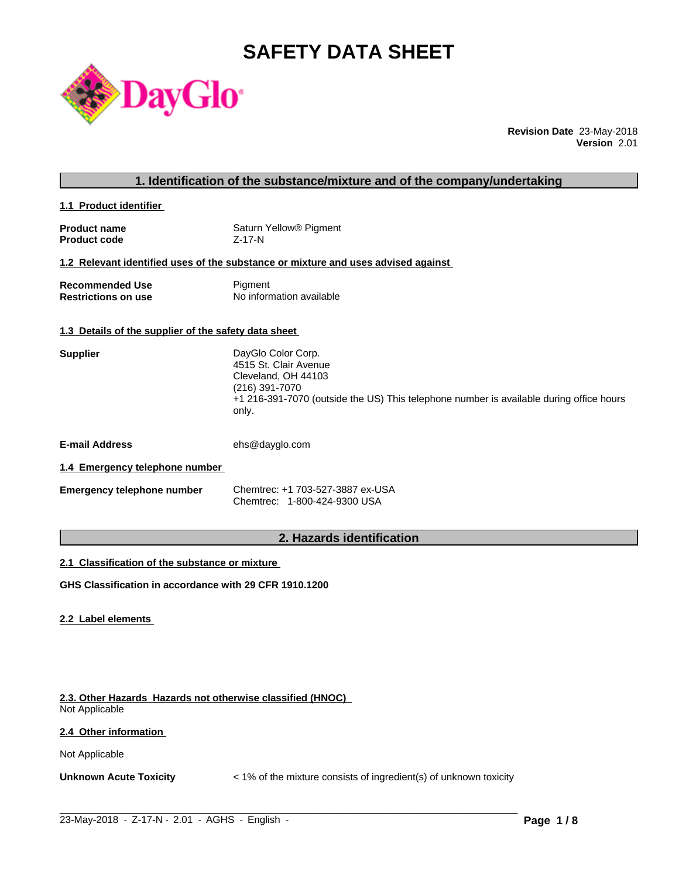# **SAFETY DATA SHEET**



**Revision Date** 23-May-2018 **Version** 2.01

| 1. Identification of the substance/mixture and of the company/undertaking |                                              |  |  |
|---------------------------------------------------------------------------|----------------------------------------------|--|--|
| 1.1 Product identifier                                                    |                                              |  |  |
| <b>Product name</b><br><b>Product code</b>                                | Saturn Yellow <sup>®</sup> Pigment<br>Z-17-N |  |  |

#### **1.2 Relevant identified uses of the substance or mixture and uses advised against**

| <b>Recommended Use</b>     | Pigment                  |
|----------------------------|--------------------------|
| <b>Restrictions on use</b> | No information available |

#### **1.3 Details of the supplier of the safety data sheet**

| <b>Supplier</b> | DayGlo Color Corp.                                                                               |
|-----------------|--------------------------------------------------------------------------------------------------|
|                 | 4515 St. Clair Avenue                                                                            |
|                 | Cleveland, OH 44103                                                                              |
|                 | (216) 391-7070                                                                                   |
|                 | +1 216-391-7070 (outside the US) This telephone number is available during office hours<br>only. |
|                 |                                                                                                  |

**E-mail Address** ehs@dayglo.com

#### **1.4 Emergency telephone number**

| <b>Emergency telephone number</b> | Chemtrec: +1 703-527-3887 ex-USA |
|-----------------------------------|----------------------------------|
|                                   | Chemtrec: 1-800-424-9300 USA     |

# **2. Hazards identification**

#### **2.1 Classification of the substance or mixture**

**GHS Classification in accordance with 29 CFR 1910.1200**

#### **2.2 Label elements**

**2.3. Other Hazards Hazards not otherwise classified (HNOC)** Not Applicable

#### **2.4 Other information**

Not Applicable

**Unknown Acute Toxicity** < 1% of the mixture consists of ingredient(s) of unknown toxicity

 $\_$  ,  $\_$  ,  $\_$  ,  $\_$  ,  $\_$  ,  $\_$  ,  $\_$  ,  $\_$  ,  $\_$  ,  $\_$  ,  $\_$  ,  $\_$  ,  $\_$  ,  $\_$  ,  $\_$  ,  $\_$  ,  $\_$  ,  $\_$  ,  $\_$  ,  $\_$  ,  $\_$  ,  $\_$  ,  $\_$  ,  $\_$  ,  $\_$  ,  $\_$  ,  $\_$  ,  $\_$  ,  $\_$  ,  $\_$  ,  $\_$  ,  $\_$  ,  $\_$  ,  $\_$  ,  $\_$  ,  $\_$  ,  $\_$  ,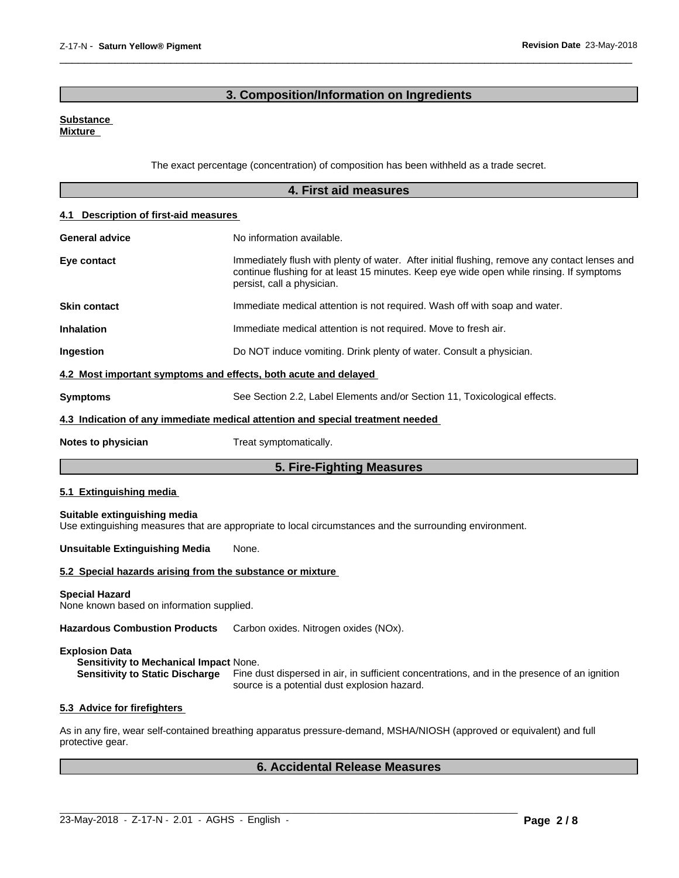# **3. Composition/Information on Ingredients**

 $\overline{\phantom{a}}$  ,  $\overline{\phantom{a}}$  ,  $\overline{\phantom{a}}$  ,  $\overline{\phantom{a}}$  ,  $\overline{\phantom{a}}$  ,  $\overline{\phantom{a}}$  ,  $\overline{\phantom{a}}$  ,  $\overline{\phantom{a}}$  ,  $\overline{\phantom{a}}$  ,  $\overline{\phantom{a}}$  ,  $\overline{\phantom{a}}$  ,  $\overline{\phantom{a}}$  ,  $\overline{\phantom{a}}$  ,  $\overline{\phantom{a}}$  ,  $\overline{\phantom{a}}$  ,  $\overline{\phantom{a}}$ 

#### **Substance Mixture**

The exact percentage (concentration) of composition has been withheld as a trade secret.

|                                                                    | 4. First aid measures                                                                                                                                                                                                   |  |
|--------------------------------------------------------------------|-------------------------------------------------------------------------------------------------------------------------------------------------------------------------------------------------------------------------|--|
| 4.1 Description of first-aid measures                              |                                                                                                                                                                                                                         |  |
| <b>General advice</b>                                              | No information available.                                                                                                                                                                                               |  |
| Eye contact                                                        | Immediately flush with plenty of water. After initial flushing, remove any contact lenses and<br>continue flushing for at least 15 minutes. Keep eye wide open while rinsing. If symptoms<br>persist, call a physician. |  |
| <b>Skin contact</b>                                                | Immediate medical attention is not required. Wash off with soap and water.                                                                                                                                              |  |
| <b>Inhalation</b>                                                  | Immediate medical attention is not required. Move to fresh air.                                                                                                                                                         |  |
| Ingestion                                                          | Do NOT induce vomiting. Drink plenty of water. Consult a physician.                                                                                                                                                     |  |
| 4.2 Most important symptoms and effects, both acute and delayed    |                                                                                                                                                                                                                         |  |
| Symptoms                                                           | See Section 2.2, Label Elements and/or Section 11, Toxicological effects.                                                                                                                                               |  |
|                                                                    | 4.3 Indication of any immediate medical attention and special treatment needed                                                                                                                                          |  |
| Notes to physician                                                 | Treat symptomatically.                                                                                                                                                                                                  |  |
|                                                                    | 5. Fire-Fighting Measures                                                                                                                                                                                               |  |
| 5.1 Extinguishing media                                            |                                                                                                                                                                                                                         |  |
| Suitable extinguishing media                                       | Use extinguishing measures that are appropriate to local circumstances and the surrounding environment.                                                                                                                 |  |
| Unsuitable Extinguishing Media                                     | None.                                                                                                                                                                                                                   |  |
| 5.2 Special hazards arising from the substance or mixture          |                                                                                                                                                                                                                         |  |
| <b>Special Hazard</b><br>None known based on information supplied. |                                                                                                                                                                                                                         |  |
| <b>Hazardous Combustion Products</b>                               | Carbon oxides. Nitrogen oxides (NOx).                                                                                                                                                                                   |  |
| <b>Explosion Data</b><br>Sensitivity to Mechanical Impact None.    | Sensitivity to Static Discharge Fine dust dispersed in air, in sufficient concentrations, and in the presence of an ignition<br>source is a potential dust explosion hazard.                                            |  |
| 5.3 Advice for firefighters                                        |                                                                                                                                                                                                                         |  |
| protective gear.                                                   | As in any fire, wear self-contained breathing apparatus pressure-demand, MSHA/NIOSH (approved or equivalent) and full                                                                                                   |  |

# **6. Accidental Release Measures**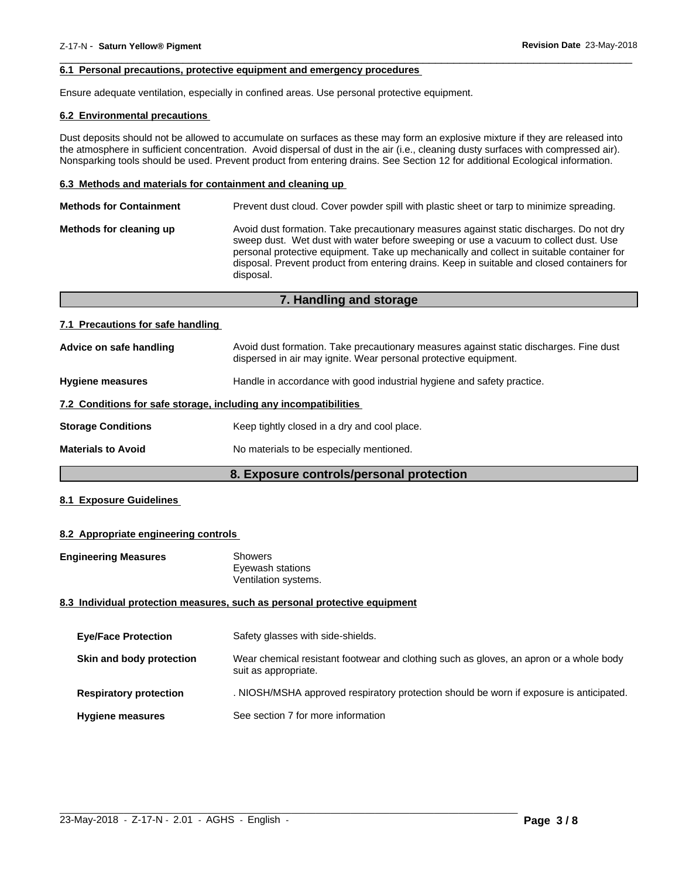#### **6.1 Personal precautions, protective equipment and emergency procedures**

Ensure adequate ventilation, especially in confined areas. Use personal protective equipment.

#### **6.2 Environmental precautions**

Dust deposits should not be allowed to accumulate on surfaces as these may form an explosive mixture if they are released into the atmosphere in sufficient concentration. Avoid dispersal of dust in the air (i.e., cleaning dusty surfaces with compressed air). Nonsparking tools should be used. Prevent product from entering drains. See Section 12 for additional Ecological information.

 $\overline{\phantom{a}}$  ,  $\overline{\phantom{a}}$  ,  $\overline{\phantom{a}}$  ,  $\overline{\phantom{a}}$  ,  $\overline{\phantom{a}}$  ,  $\overline{\phantom{a}}$  ,  $\overline{\phantom{a}}$  ,  $\overline{\phantom{a}}$  ,  $\overline{\phantom{a}}$  ,  $\overline{\phantom{a}}$  ,  $\overline{\phantom{a}}$  ,  $\overline{\phantom{a}}$  ,  $\overline{\phantom{a}}$  ,  $\overline{\phantom{a}}$  ,  $\overline{\phantom{a}}$  ,  $\overline{\phantom{a}}$ 

#### **6.3 Methods and materials for containment and cleaning up**

| <b>Methods for Containment</b> | Prevent dust cloud. Cover powder spill with plastic sheet or tarp to minimize spreading.                                                                                                                                                                                                                                                                                                |
|--------------------------------|-----------------------------------------------------------------------------------------------------------------------------------------------------------------------------------------------------------------------------------------------------------------------------------------------------------------------------------------------------------------------------------------|
| Methods for cleaning up        | Avoid dust formation. Take precautionary measures against static discharges. Do not dry<br>sweep dust. Wet dust with water before sweeping or use a vacuum to collect dust. Use<br>personal protective equipment. Take up mechanically and collect in suitable container for<br>disposal. Prevent product from entering drains. Keep in suitable and closed containers for<br>disposal. |
|                                |                                                                                                                                                                                                                                                                                                                                                                                         |

**7. Handling and storage**

| 7.1 Precautions for safe handling |                                                                                        |  |
|-----------------------------------|----------------------------------------------------------------------------------------|--|
| Advice on safe handling           | Avoid dust formation. Take precautionary measures against static discharges. Fine dust |  |

|                                                                  | dispersed in air may ignite. Wear personal protective equipment.       |  |
|------------------------------------------------------------------|------------------------------------------------------------------------|--|
| <b>Hygiene measures</b>                                          | Handle in accordance with good industrial hygiene and safety practice. |  |
| 7.2 Conditions for safe storage, including any incompatibilities |                                                                        |  |
| <b>Storage Conditions</b>                                        | Keep tightly closed in a dry and cool place.                           |  |
| <b>Materials to Avoid</b>                                        | No materials to be especially mentioned.                               |  |
|                                                                  |                                                                        |  |

#### **8. Exposure controls/personal protection**

#### **8.1 Exposure Guidelines**

#### **8.2 Appropriate engineering controls**

| <b>Engineering Measures</b>   | <b>Showers</b><br>Eyewash stations<br>Ventilation systems.                                                     |
|-------------------------------|----------------------------------------------------------------------------------------------------------------|
|                               | 8.3 Individual protection measures, such as personal protective equipment                                      |
| <b>Eve/Face Protection</b>    | Safety glasses with side-shields.                                                                              |
| Skin and body protection      | Wear chemical resistant footwear and clothing such as gloves, an apron or a whole body<br>suit as appropriate. |
| <b>Respiratory protection</b> | . NIOSH/MSHA approved respiratory protection should be worn if exposure is anticipated.                        |
| <b>Hygiene measures</b>       | See section 7 for more information                                                                             |

 $\_$  ,  $\_$  ,  $\_$  ,  $\_$  ,  $\_$  ,  $\_$  ,  $\_$  ,  $\_$  ,  $\_$  ,  $\_$  ,  $\_$  ,  $\_$  ,  $\_$  ,  $\_$  ,  $\_$  ,  $\_$  ,  $\_$  ,  $\_$  ,  $\_$  ,  $\_$  ,  $\_$  ,  $\_$  ,  $\_$  ,  $\_$  ,  $\_$  ,  $\_$  ,  $\_$  ,  $\_$  ,  $\_$  ,  $\_$  ,  $\_$  ,  $\_$  ,  $\_$  ,  $\_$  ,  $\_$  ,  $\_$  ,  $\_$  ,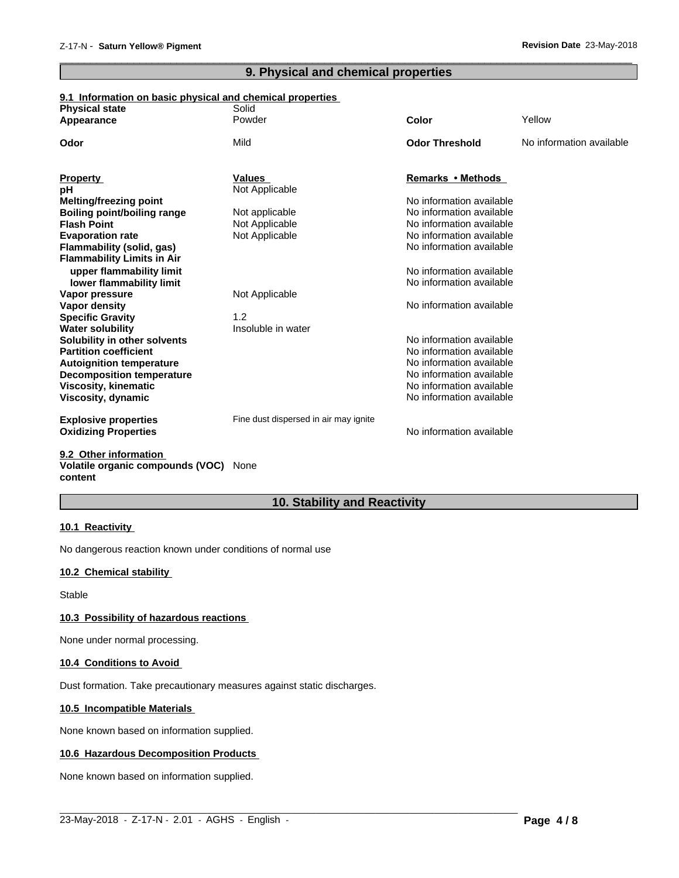# **9. Physical and chemical properties**

 $\overline{\phantom{a}}$  ,  $\overline{\phantom{a}}$  ,  $\overline{\phantom{a}}$  ,  $\overline{\phantom{a}}$  ,  $\overline{\phantom{a}}$  ,  $\overline{\phantom{a}}$  ,  $\overline{\phantom{a}}$  ,  $\overline{\phantom{a}}$  ,  $\overline{\phantom{a}}$  ,  $\overline{\phantom{a}}$  ,  $\overline{\phantom{a}}$  ,  $\overline{\phantom{a}}$  ,  $\overline{\phantom{a}}$  ,  $\overline{\phantom{a}}$  ,  $\overline{\phantom{a}}$  ,  $\overline{\phantom{a}}$ 

#### **9.1 Information on basic physical and chemical properties**

| <b>Physical state</b>                                   | Solid                                 |                          |                          |
|---------------------------------------------------------|---------------------------------------|--------------------------|--------------------------|
| Appearance                                              | Powder                                | Color                    | Yellow                   |
| Odor                                                    | Mild                                  | <b>Odor Threshold</b>    | No information available |
| <b>Property</b>                                         | <b>Values</b>                         | Remarks • Methods        |                          |
| рH                                                      | Not Applicable                        |                          |                          |
| Melting/freezing point                                  |                                       | No information available |                          |
| <b>Boiling point/boiling range</b>                      | Not applicable                        | No information available |                          |
| <b>Flash Point</b>                                      | Not Applicable                        | No information available |                          |
| <b>Evaporation rate</b>                                 | Not Applicable                        | No information available |                          |
| Flammability (solid, gas)                               |                                       | No information available |                          |
| <b>Flammability Limits in Air</b>                       |                                       |                          |                          |
| upper flammability limit                                |                                       | No information available |                          |
| lower flammability limit                                |                                       | No information available |                          |
| Vapor pressure                                          | Not Applicable                        |                          |                          |
| Vapor density                                           |                                       | No information available |                          |
| <b>Specific Gravity</b>                                 | 1.2                                   |                          |                          |
| <b>Water solubility</b>                                 | Insoluble in water                    |                          |                          |
| Solubility in other solvents                            |                                       | No information available |                          |
| <b>Partition coefficient</b>                            |                                       | No information available |                          |
| <b>Autoignition temperature</b>                         |                                       | No information available |                          |
| <b>Decomposition temperature</b>                        |                                       | No information available |                          |
| <b>Viscosity, kinematic</b>                             |                                       | No information available |                          |
| Viscosity, dynamic                                      |                                       | No information available |                          |
| <b>Explosive properties</b>                             | Fine dust dispersed in air may ignite |                          |                          |
| <b>Oxidizing Properties</b>                             |                                       | No information available |                          |
| $0.0.01$ $0.01$ $0.001$ $0.001$ $0.001$ $0.001$ $0.001$ |                                       |                          |                          |

#### **9.2 Other information Volatile organic compounds (VOC)** None **content**

# **10. Stability and Reactivity**

#### **10.1 Reactivity**

No dangerous reaction known under conditions of normal use

### **10.2 Chemical stability**

Stable

#### **10.3 Possibility of hazardous reactions**

None under normal processing.

#### **10.4 Conditions to Avoid**

Dust formation. Take precautionary measures against static discharges.

#### **10.5 Incompatible Materials**

None known based on information supplied.

#### **10.6 Hazardous Decomposition Products**

None known based on information supplied.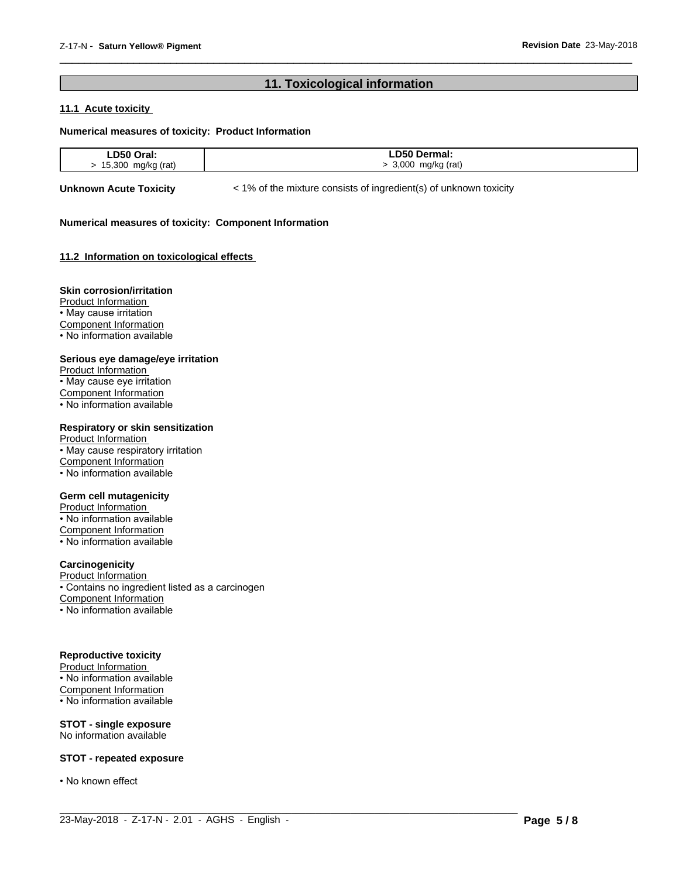## **11. Toxicological information**

 $\overline{\phantom{a}}$  ,  $\overline{\phantom{a}}$  ,  $\overline{\phantom{a}}$  ,  $\overline{\phantom{a}}$  ,  $\overline{\phantom{a}}$  ,  $\overline{\phantom{a}}$  ,  $\overline{\phantom{a}}$  ,  $\overline{\phantom{a}}$  ,  $\overline{\phantom{a}}$  ,  $\overline{\phantom{a}}$  ,  $\overline{\phantom{a}}$  ,  $\overline{\phantom{a}}$  ,  $\overline{\phantom{a}}$  ,  $\overline{\phantom{a}}$  ,  $\overline{\phantom{a}}$  ,  $\overline{\phantom{a}}$ 

#### **11.1 Acute toxicity**

#### **Numerical measures of toxicity: Product Information**

| DEO         | D50                   |
|-------------|-----------------------|
| .           | Dermai.               |
| --          |                       |
| .           | _____                 |
| 30C<br>rat. | റററ<br>(rati<br>ma/kr |

 $\_$  ,  $\_$  ,  $\_$  ,  $\_$  ,  $\_$  ,  $\_$  ,  $\_$  ,  $\_$  ,  $\_$  ,  $\_$  ,  $\_$  ,  $\_$  ,  $\_$  ,  $\_$  ,  $\_$  ,  $\_$  ,  $\_$  ,  $\_$  ,  $\_$  ,  $\_$  ,  $\_$  ,  $\_$  ,  $\_$  ,  $\_$  ,  $\_$  ,  $\_$  ,  $\_$  ,  $\_$  ,  $\_$  ,  $\_$  ,  $\_$  ,  $\_$  ,  $\_$  ,  $\_$  ,  $\_$  ,  $\_$  ,  $\_$  ,

**Unknown Acute Toxicity**  $\lt$  1% of the mixture consists of ingredient(s) of unknown toxicity

#### **Numerical measures of toxicity: Component Information**

#### **11.2 Information on toxicologicaleffects**

#### **Skin corrosion/irritation**

Product Information • May cause irritation Component Information • No information available

#### **Serious eye damage/eye irritation**

Product Information • May cause eye irritation Component Information • No information available

#### **Respiratory or skin sensitization**

Product Information • May cause respiratory irritation Component Information  $\cdot$  No information available

#### **Germ cell mutagenicity**

Product Information • No information available Component Information • No information available

#### **Carcinogenicity**

Product Information • Contains no ingredient listed as a carcinogen Component Information • No information available

#### **Reproductive toxicity**

Product Information • No information available Component Information • No information available

**STOT - single exposure** No information available

#### **STOT - repeated exposure**

• No known effect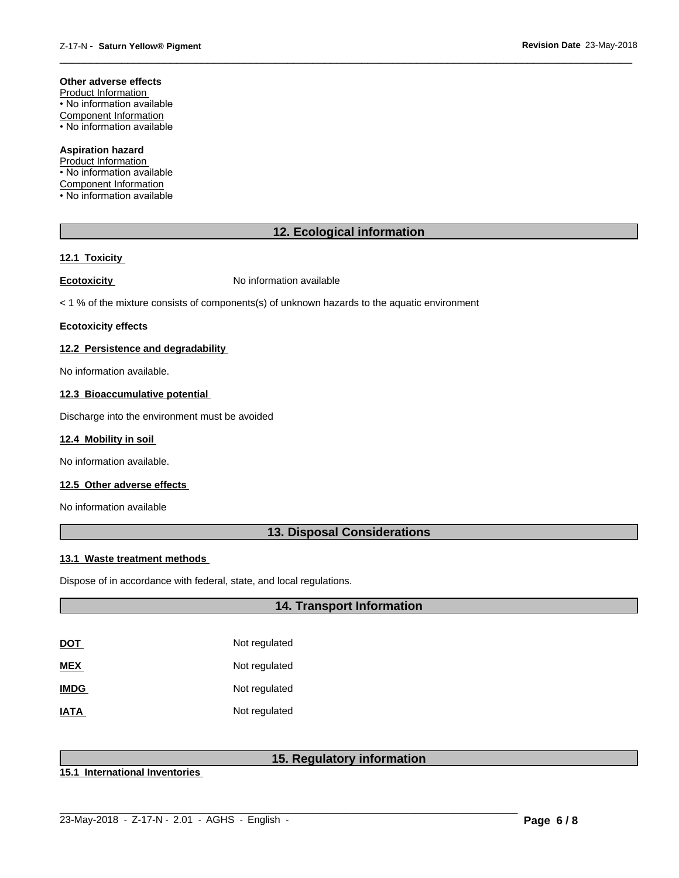#### **Other adverse effects**

Product Information • No information available Component Information • No information available

#### **Aspiration hazard**

Product Information • No information available Component Information • No information available

# **12. Ecological information**

 $\overline{\phantom{a}}$  ,  $\overline{\phantom{a}}$  ,  $\overline{\phantom{a}}$  ,  $\overline{\phantom{a}}$  ,  $\overline{\phantom{a}}$  ,  $\overline{\phantom{a}}$  ,  $\overline{\phantom{a}}$  ,  $\overline{\phantom{a}}$  ,  $\overline{\phantom{a}}$  ,  $\overline{\phantom{a}}$  ,  $\overline{\phantom{a}}$  ,  $\overline{\phantom{a}}$  ,  $\overline{\phantom{a}}$  ,  $\overline{\phantom{a}}$  ,  $\overline{\phantom{a}}$  ,  $\overline{\phantom{a}}$ 

#### **12.1 Toxicity**

**Ecotoxicity No information available** 

 $<$  1 % of the mixture consists of components(s) of unknown hazards to the aquatic environment

#### **Ecotoxicity effects**

#### **12.2 Persistence and degradability**

No information available.

#### **12.3 Bioaccumulative potential**

Discharge into the environment must be avoided

#### **12.4 Mobility in soil**

No information available.

#### **12.5 Other adverse effects**

No information available

### **13. Disposal Considerations**

#### **13.1 Waste treatment methods**

Dispose of in accordance with federal, state, and local regulations.

### **14. Transport Information**

| DOT         | Not regulated |
|-------------|---------------|
| MEX         | Not regulated |
| <b>IMDG</b> | Not regulated |
| IATA        | Not regulated |

# **15. Regulatory information**

**15.1 International Inventories**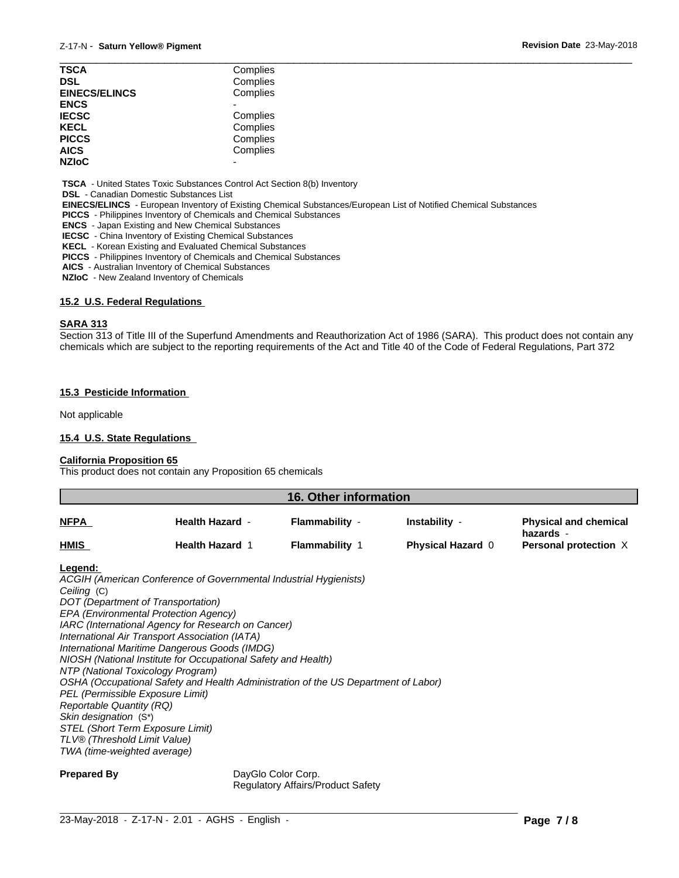| <b>TSCA</b>          | Complies |  |
|----------------------|----------|--|
| <b>DSL</b>           | Complies |  |
| <b>EINECS/ELINCS</b> | Complies |  |
| <b>ENCS</b>          |          |  |
| <b>IECSC</b>         | Complies |  |
| <b>KECL</b>          | Complies |  |
| <b>PICCS</b>         | Complies |  |
| <b>AICS</b>          | Complies |  |
| <b>NZIoC</b>         | -        |  |
|                      |          |  |

 **TSCA** - United States Toxic Substances Control Act Section 8(b) Inventory

 **DSL** - Canadian Domestic Substances List

 **EINECS/ELINCS** - European Inventory of Existing Chemical Substances/European List of Notified Chemical Substances

 **PICCS** - Philippines Inventory of Chemicals and Chemical Substances

 **ENCS** - Japan Existing and New Chemical Substances

 **IECSC** - China Inventory of Existing Chemical Substances

 **KECL** - Korean Existing and Evaluated Chemical Substances

 **PICCS** - Philippines Inventory of Chemicals and Chemical Substances

 **AICS** - Australian Inventory of Chemical Substances

 **NZIoC** - New Zealand Inventory of Chemicals

#### **15.2 U.S. Federal Regulations**

#### **SARA 313**

Section 313 of Title III of the Superfund Amendments and Reauthorization Act of 1986 (SARA). This product does not contain any chemicals which are subject to the reporting requirements of the Act and Title 40 of the Code of Federal Regulations, Part 372

#### **15.3 Pesticide Information**

Not applicable

#### **15.4 U.S. State Regulations**

#### **California Proposition 65**

This product does not contain any Proposition 65 chemicals

|             | 16. Other information  |                     |                          |                                           |  |
|-------------|------------------------|---------------------|--------------------------|-------------------------------------------|--|
| <b>NFPA</b> | <b>Health Hazard -</b> | Flammability -      | Instability -            | <b>Physical and chemical</b><br>hazards - |  |
| <b>HMIS</b> | <b>Health Hazard 1</b> | <b>Flammability</b> | <b>Physical Hazard 0</b> | Personal protection X                     |  |
|             |                        |                     |                          |                                           |  |

#### **Legend:**

*ACGIH (American Conference of Governmental Industrial Hygienists) Ceiling* (C) *DOT (Department of Transportation) EPA (Environmental Protection Agency) IARC (International Agency for Research on Cancer) International Air Transport Association (IATA) International Maritime Dangerous Goods (IMDG) NIOSH (National Institute for Occupational Safety and Health) NTP (National Toxicology Program) OSHA (Occupational Safety and Health Administration of the US Department of Labor) PEL (Permissible Exposure Limit) Reportable Quantity (RQ) Skin designation* (S\*) *STEL (Short Term Exposure Limit) TLV® (Threshold Limit Value) TWA (time-weighted average)*

**Prepared By** DayGlo Color Corp. Regulatory Affairs/Product Safety

 $\_$  ,  $\_$  ,  $\_$  ,  $\_$  ,  $\_$  ,  $\_$  ,  $\_$  ,  $\_$  ,  $\_$  ,  $\_$  ,  $\_$  ,  $\_$  ,  $\_$  ,  $\_$  ,  $\_$  ,  $\_$  ,  $\_$  ,  $\_$  ,  $\_$  ,  $\_$  ,  $\_$  ,  $\_$  ,  $\_$  ,  $\_$  ,  $\_$  ,  $\_$  ,  $\_$  ,  $\_$  ,  $\_$  ,  $\_$  ,  $\_$  ,  $\_$  ,  $\_$  ,  $\_$  ,  $\_$  ,  $\_$  ,  $\_$  ,